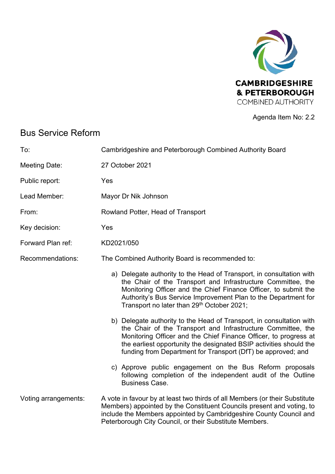

Agenda Item No: 2.2

# Bus Service Reform

| To:                  | Cambridgeshire and Peterborough Combined Authority Board                                                                                                                                                                                                                                                                                       |
|----------------------|------------------------------------------------------------------------------------------------------------------------------------------------------------------------------------------------------------------------------------------------------------------------------------------------------------------------------------------------|
| Meeting Date:        | 27 October 2021                                                                                                                                                                                                                                                                                                                                |
| Public report:       | Yes                                                                                                                                                                                                                                                                                                                                            |
| Lead Member:         | Mayor Dr Nik Johnson                                                                                                                                                                                                                                                                                                                           |
| From:                | Rowland Potter, Head of Transport                                                                                                                                                                                                                                                                                                              |
| Key decision:        | Yes                                                                                                                                                                                                                                                                                                                                            |
| Forward Plan ref:    | KD2021/050                                                                                                                                                                                                                                                                                                                                     |
| Recommendations:     | The Combined Authority Board is recommended to:                                                                                                                                                                                                                                                                                                |
|                      | a) Delegate authority to the Head of Transport, in consultation with<br>the Chair of the Transport and Infrastructure Committee, the<br>Monitoring Officer and the Chief Finance Officer, to submit the<br>Authority's Bus Service Improvement Plan to the Department for<br>Transport no later than 29 <sup>th</sup> October 2021;            |
|                      | b) Delegate authority to the Head of Transport, in consultation with<br>the Chair of the Transport and Infrastructure Committee, the<br>Monitoring Officer and the Chief Finance Officer, to progress at<br>the earliest opportunity the designated BSIP activities should the<br>funding from Department for Transport (DfT) be approved; and |
|                      | c) Approve public engagement on the Bus Reform proposals<br>following completion of the independent audit of the Outline<br><b>Business Case.</b>                                                                                                                                                                                              |
| Voting arrangements: | A vote in favour by at least two thirds of all Members (or their Substitute<br>Members) appointed by the Constituent Councils present and voting, to<br>include the Members appointed by Cambridgeshire County Council and<br>Peterborough City Council, or their Substitute Members.                                                          |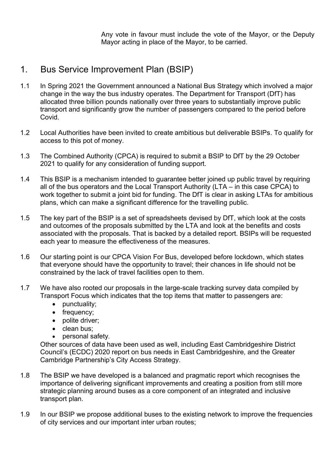Any vote in favour must include the vote of the Mayor, or the Deputy Mayor acting in place of the Mayor, to be carried.

## 1. Bus Service Improvement Plan (BSIP)

- 1.1 In Spring 2021 the Government announced a National Bus Strategy which involved a major change in the way the bus industry operates. The Department for Transport (DfT) has allocated three billion pounds nationally over three years to substantially improve public transport and significantly grow the number of passengers compared to the period before **Covid**
- 1.2 Local Authorities have been invited to create ambitious but deliverable BSIPs. To qualify for access to this pot of money.
- 1.3 The Combined Authority (CPCA) is required to submit a BSIP to DfT by the 29 October 2021 to qualify for any consideration of funding support.
- 1.4 This BSIP is a mechanism intended to guarantee better joined up public travel by requiring all of the bus operators and the Local Transport Authority (LTA – in this case CPCA) to work together to submit a joint bid for funding. The DfT is clear in asking LTAs for ambitious plans, which can make a significant difference for the travelling public.
- 1.5 The key part of the BSIP is a set of spreadsheets devised by DfT, which look at the costs and outcomes of the proposals submitted by the LTA and look at the benefits and costs associated with the proposals. That is backed by a detailed report. BSIPs will be requested each year to measure the effectiveness of the measures.
- 1.6 Our starting point is our CPCA Vision For Bus, developed before lockdown, which states that everyone should have the opportunity to travel; their chances in life should not be constrained by the lack of travel facilities open to them.
- 1.7 We have also rooted our proposals in the large-scale tracking survey data compiled by Transport Focus which indicates that the top items that matter to passengers are:
	- punctuality;
	- frequency;
	- polite driver;
	- clean bus:
	- personal safety.

Other sources of data have been used as well, including East Cambridgeshire District Council's (ECDC) 2020 report on bus needs in East Cambridgeshire, and the Greater Cambridge Partnership's City Access Strategy.

- 1.8 The BSIP we have developed is a balanced and pragmatic report which recognises the importance of delivering significant improvements and creating a position from still more strategic planning around buses as a core component of an integrated and inclusive transport plan.
- 1.9 In our BSIP we propose additional buses to the existing network to improve the frequencies of city services and our important inter urban routes;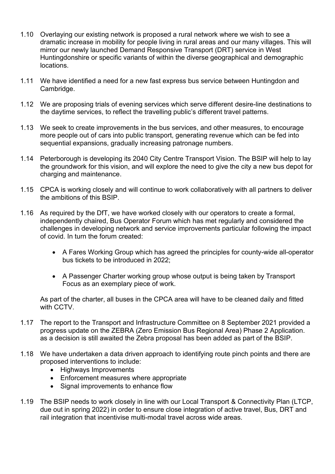- 1.10 Overlaying our existing network is proposed a rural network where we wish to see a dramatic increase in mobility for people living in rural areas and our many villages. This will mirror our newly launched Demand Responsive Transport (DRT) service in West Huntingdonshire or specific variants of within the diverse geographical and demographic locations.
- 1.11 We have identified a need for a new fast express bus service between Huntingdon and Cambridge.
- 1.12 We are proposing trials of evening services which serve different desire-line destinations to the daytime services, to reflect the travelling public's different travel patterns.
- 1.13 We seek to create improvements in the bus services, and other measures, to encourage more people out of cars into public transport, generating revenue which can be fed into sequential expansions, gradually increasing patronage numbers.
- 1.14 Peterborough is developing its 2040 City Centre Transport Vision. The BSIP will help to lay the groundwork for this vision, and will explore the need to give the city a new bus depot for charging and maintenance.
- 1.15 CPCA is working closely and will continue to work collaboratively with all partners to deliver the ambitions of this BSIP.
- 1.16 As required by the DfT, we have worked closely with our operators to create a formal, independently chaired, Bus Operator Forum which has met regularly and considered the challenges in developing network and service improvements particular following the impact of covid. In turn the forum created:
	- A Fares Working Group which has agreed the principles for county-wide all-operator bus tickets to be introduced in 2022;
	- A Passenger Charter working group whose output is being taken by Transport Focus as an exemplary piece of work.

As part of the charter, all buses in the CPCA area will have to be cleaned daily and fitted with CCTV.

- 1.17 The report to the Transport and Infrastructure Committee on 8 September 2021 provided a progress update on the ZEBRA (Zero Emission Bus Regional Area) Phase 2 Application. as a decision is still awaited the Zebra proposal has been added as part of the BSIP.
- 1.18 We have undertaken a data driven approach to identifying route pinch points and there are proposed interventions to include:
	- Highways Improvements
	- Enforcement measures where appropriate
	- Signal improvements to enhance flow
- 1.19 The BSIP needs to work closely in line with our Local Transport & Connectivity Plan (LTCP, due out in spring 2022) in order to ensure close integration of active travel, Bus, DRT and rail integration that incentivise multi-modal travel across wide areas.